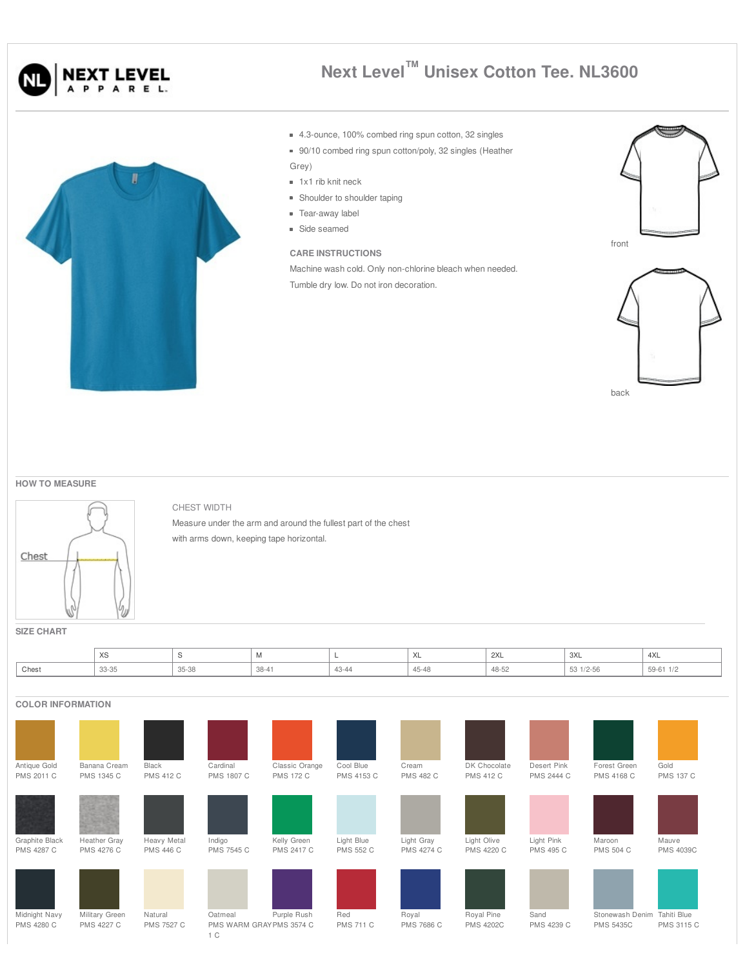



## **Next Level™ Unisex Cotton Tee. NL3600**

- 4.3-ounce, 100% combed ring spun cotton, 32 singles
- 90/10 combed ring spun cotton/poly, 32 singles (Heather Grey)
- 1x1 rib knit neck
- **Shoulder to shoulder taping**
- Tear-away label
- Side seamed

## **CARE INSTRUCTIONS**

Machine wash cold. Only non-chlorine bleach when needed. Tumble dry low. Do not iron decoration.





back

**HOW TO MEASURE**



CHEST WIDTH

Measure under the arm and around the fullest part of the chest with arms down, keeping tape horizontal.

**SIZE CHART**

|       | $\sqrt{2}$<br>ົ∧ບ |       | <b>IVI</b> |       | $\sqrt{2}$ | $\sim$<br><b>ZAL</b> | 3XL<br>$\sim$ | 4XL           |
|-------|-------------------|-------|------------|-------|------------|----------------------|---------------|---------------|
| Chest | 33-35             | 35-38 | $38 - 41$  | 43-44 | 7-40       | 48-52                | 53 1/2-56     | $59-61$ $1/2$ |

## **COLOR INFORMATION**

| Antique Gold                       | Banana Cream                        | Black                        | Cardinal                                 | Classic Orange    | Cool Blue               | Cream               | DK Chocolate                   | Desert Pink        | Forest Green                        | Gold                      |
|------------------------------------|-------------------------------------|------------------------------|------------------------------------------|-------------------|-------------------------|---------------------|--------------------------------|--------------------|-------------------------------------|---------------------------|
| <b>PMS 2011 C</b>                  | <b>PMS 1345 C</b>                   | <b>PMS 412 C</b>             | <b>PMS 1807 C</b>                        | <b>PMS 172 C</b>  | PMS 4153 C              | <b>PMS 482 C</b>    | <b>PMS 412 C</b>               | <b>PMS 2444 C</b>  | PMS 4168 C                          | <b>PMS 137 C</b>          |
| Graphite Black                     | Heather Gray                        | Heavy Metal                  | Indigo                                   | Kelly Green       | Light Blue              | Light Gray          | Light Olive                    | Light Pink         | Maroon                              | Mauve                     |
| <b>PMS 4287 C</b>                  | PMS 4276 C                          | <b>PMS 446 C</b>             | <b>PMS 7545 C</b>                        | <b>PMS 2417 C</b> | <b>PMS 552 C</b>        | <b>PMS 4274 C</b>   | <b>PMS 4220 C</b>              | <b>PMS 495 C</b>   | <b>PMS 504 C</b>                    | <b>PMS 4039C</b>          |
| Midnight Navy<br><b>PMS 4280 C</b> | Military Green<br><b>PMS 4227 C</b> | Natural<br><b>PMS 7527 C</b> | Oatmeal<br>PMS WARM GRAYPMS 3574 C<br>1C | Purple Rush       | Red<br><b>PMS 711 C</b> | Royal<br>PMS 7686 C | Royal Pine<br><b>PMS 4202C</b> | Sand<br>PMS 4239 C | Stonewash Denim<br><b>PMS 5435C</b> | Tahiti Blue<br>PMS 3115 C |